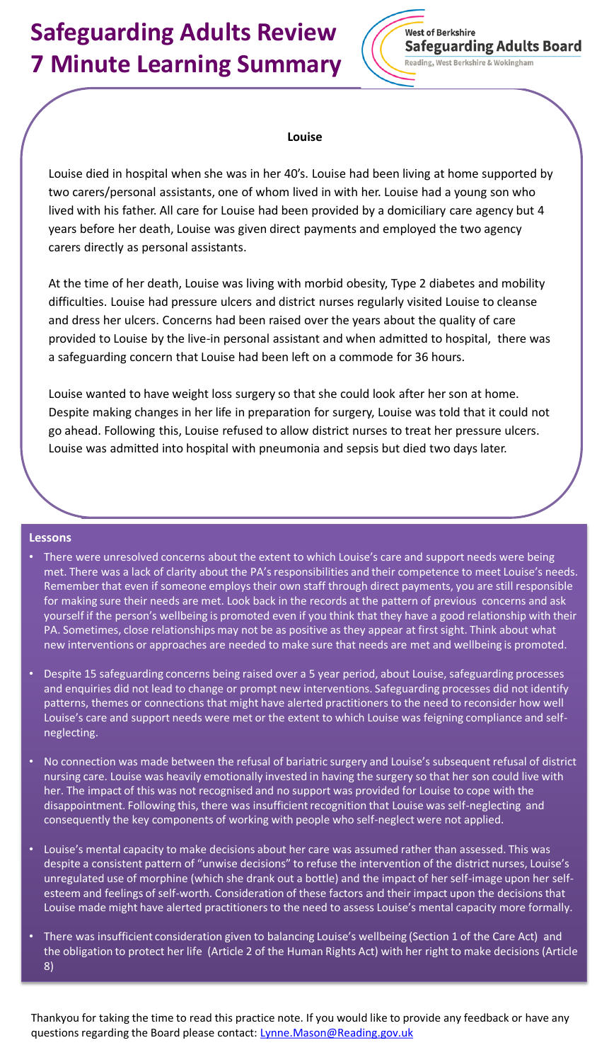# **Safeguarding Adults Review 7 Minute Learning Summary**



### **Louise**

Louise died in hospital when she was in her 40's. Louise had been living at home supported by two carers/personal assistants, one of whom lived in with her. Louise had a young son who lived with his father. All care for Louise had been provided by a domiciliary care agency but 4 years before her death, Louise was given direct payments and employed the two agency carers directly as personal assistants.

At the time of her death, Louise was living with morbid obesity, Type 2 diabetes and mobility difficulties. Louise had pressure ulcers and district nurses regularly visited Louise to cleanse and dress her ulcers. Concerns had been raised over the years about the quality of care provided to Louise by the live-in personal assistant and when admitted to hospital, there was a safeguarding concern that Louise had been left on a commode for 36 hours.

Louise wanted to have weight loss surgery so that she could look after her son at home. Despite making changes in her life in preparation for surgery, Louise was told that it could not go ahead. Following this, Louise refused to allow district nurses to treat her pressure ulcers. Louise was admitted into hospital with pneumonia and sepsis but died two days later.

#### **Lessons**

- There were unresolved concerns about the extent to which Louise's care and support needs were being met. There was a lack of clarity about the PA's responsibilities and their competence to meet Louise's needs. Remember that even if someone employs their own staff through direct payments, you are still responsible for making sure their needs are met. Look back in the records at the pattern of previous concerns and ask yourself if the person's wellbeing is promoted even if you think that they have a good relationship with their PA. Sometimes, close relationships may not be as positive as they appear at first sight. Think about what new interventions or approaches are needed to make sure that needs are met and wellbeing is promoted.
- Despite 15 safeguarding concerns being raised over a 5 year period, about Louise, safeguarding processes and enquiries did not lead to change or prompt new interventions. Safeguarding processes did not identify patterns, themes or connections that might have alerted practitioners to the need to reconsider how well Louise's care and support needs were met or the extent to which Louise was feigning compliance and selfneglecting.
- No connection was made between the refusal of bariatric surgery and Louise's subsequent refusal of district nursing care. Louise was heavily emotionally invested in having the surgery so that her son could live with her. The impact of this was not recognised and no support was provided for Louise to cope with the disappointment. Following this, there was insufficient recognition that Louise was self-neglecting and consequently the key components of working with people who self-neglect were not applied.
- Louise's mental capacity to make decisions about her care was assumed rather than assessed. This was despite a consistent pattern of "unwise decisions" to refuse the intervention of the district nurses, Louise's unregulated use of morphine (which she drank out a bottle) and the impact of her self-image upon her selfesteem and feelings of self-worth. Consideration of these factors and their impact upon the decisions that Louise made might have alerted practitioners to the need to assess Louise's mental capacity more formally.
- There was insufficient consideration given to balancing Louise's wellbeing (Section 1 of the Care Act) and the obligation to protect her life (Article 2 of the Human Rights Act) with her right to make decisions (Article 8)

Thankyou for taking the time to read this practice note. If you would like to provide any feedback or have any questions regarding the Board please contact: [Lynne.Mason@Reading.gov.uk](mailto:Lynne.Mason@Reading.gov.uk)